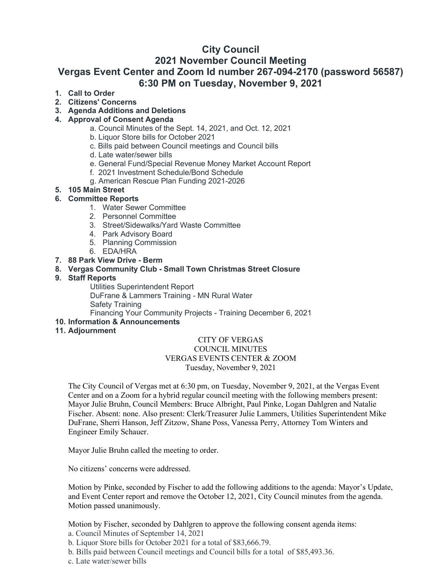# **City Council**

## **2021 November Council Meeting**

# **Vergas Event Center and Zoom Id number 267-094-2170 (password 56587) 6:30 PM on Tuesday, November 9, 2021**

## **1. Call to Order**

**2. Citizens' Concerns**

## **3. Agenda Additions and Deletions**

## **4. Approval of Consent Agenda**

- a. Council Minutes of the Sept. 14, 2021, and Oct. 12, 2021
- b. Liquor Store bills for October 2021
- c. Bills paid between Council meetings and Council bills
- d. Late water/sewer bills
- e. General Fund/Special Revenue Money Market Account Report
- f. 2021 Investment Schedule/Bond Schedule
- g. American Rescue Plan Funding 2021-2026
- **5. 105 Main Street**

#### **6. Committee Reports**

- 1. Water Sewer Committee
- 2. Personnel Committee
- 3. Street/Sidewalks/Yard Waste Committee
- 4. Park Advisory Board
- 5. Planning Commission
- 6. EDA/HRA
- **7. 88 Park View Drive - Berm**
- **8. Vergas Community Club - Small Town Christmas Street Closure**
- **9. Staff Reports**

Utilities Superintendent Report

DuFrane & Lammers Training - MN Rural Water Safety Training

Financing Your Community Projects - Training December 6, 2021

## **10. Information & Announcements**

#### **11. Adjournment**

#### CITY OF VERGAS COUNCIL MINUTES VERGAS EVENTS CENTER & ZOOM Tuesday, November 9, 2021

The City Council of Vergas met at 6:30 pm, on Tuesday, November 9, 2021, at the Vergas Event Center and on a Zoom for a hybrid regular council meeting with the following members present: Mayor Julie Bruhn, Council Members: Bruce Albright, Paul Pinke, Logan Dahlgren and Natalie Fischer. Absent: none. Also present: Clerk/Treasurer Julie Lammers, Utilities Superintendent Mike DuFrane, Sherri Hanson, Jeff Zitzow, Shane Poss, Vanessa Perry, Attorney Tom Winters and Engineer Emily Schauer.

Mayor Julie Bruhn called the meeting to order.

No citizens' concerns were addressed.

Motion by Pinke, seconded by Fischer to add the following additions to the agenda: Mayor's Update, and Event Center report and remove the October 12, 2021, City Council minutes from the agenda. Motion passed unanimously.

Motion by Fischer, seconded by Dahlgren to approve the following consent agenda items:

- a. Council Minutes of September 14, 2021
- b. Liquor Store bills for October 2021 for a total of \$83,666.79.
- b. Bills paid between Council meetings and Council bills for a total of \$85,493.36.
- c. Late water/sewer bills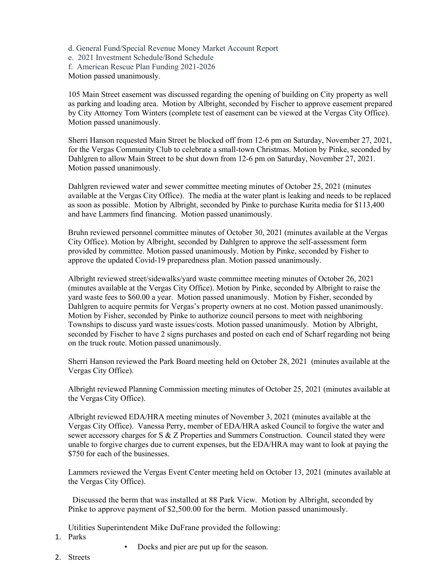- d. General Fund/Special Revenue Money Market Account Report
- e. 2021 Investment Schedule/Bond Schedule
- f. American Rescue Plan Funding 2021-2026

Motion passed unanimously.

105 Main Street easement was discussed regarding the opening of building on City property as well as parking and loading area. Motion by Albright, seconded by Fischer to approve easement prepared by City Attorney Tom Winters (complete test of easement can be viewed at the Vergas City Office). Motion passed unanimously.

Sherri Hanson requested Main Street be blocked off from 12-6 pm on Saturday, November 27, 2021, for the Vergas Community Club to celebrate a small-town Christmas. Motion by Pinke, seconded by Dahlgren to allow Main Street to be shut down from 12-6 pm on Saturday, November 27, 2021. Motion passed unanimously.

Dahlgren reviewed water and sewer committee meeting minutes of October 25, 2021 (minutes available at the Vergas City Office). The media at the water plant is leaking and needs to be replaced as soon as possible. Motion by Albright, seconded by Pinke to purchase Kurita media for \$113,400 and have Lammers find financing. Motion passed unanimously.

Bruhn reviewed personnel committee minutes of October 30, 2021 (minutes available at the Vergas City Office). Motion by Albright, seconded by Dahlgren to approve the self-assessment form provided by committee. Motion passed unanimously. Motion by Pinke, seconded by Fisher to approve the updated Covid-19 preparedness plan. Motion passed unanimously.

Albright reviewed street/sidewalks/yard waste committee meeting minutes of October 26, 2021 (minutes available at the Vergas City Office). Motion by Pinke, seconded by Albright to raise the yard waste fees to \$60.00 a year. Motion passed unanimously. Motion by Fisher, seconded by Dahlgren to acquire permits for Vergas's property owners at no cost. Motion passed unanimously. Motion by Fisher, seconded by Pinke to authorize council persons to meet with neighboring Townships to discuss yard waste issues/costs. Motion passed unanimously. Motion by Albright, seconded by Fischer to have 2 signs purchases and posted on each end of Scharf regarding not being on the truck route. Motion passed unanimously.

Sherri Hanson reviewed the Park Board meeting held on October 28, 2021 (minutes available at the Vergas City Office).

Albright reviewed Planning Commission meeting minutes of October 25, 2021 (minutes available at the Vergas City Office).

Albright reviewed EDA/HRA meeting minutes of November 3, 2021 (minutes available at the Vergas City Office). Vanessa Perry, member of EDA/HRA asked Council to forgive the water and sewer accessory charges for S & Z Properties and Summers Construction. Council stated they were unable to forgive charges due to current expenses, but the EDA/HRA may want to look at paying the \$750 for each of the businesses.

Lammers reviewed the Vergas Event Center meeting held on October 13, 2021 (minutes available at the Vergas City Office).

 Discussed the berm that was installed at 88 Park View. Motion by Albright, seconded by Pinke to approve payment of \$2,500.00 for the berm. Motion passed unanimously.

Utilities Superintendent Mike DuFrane provided the following:

- 1. Parks
- Docks and pier are put up for the season.
- 2. Streets